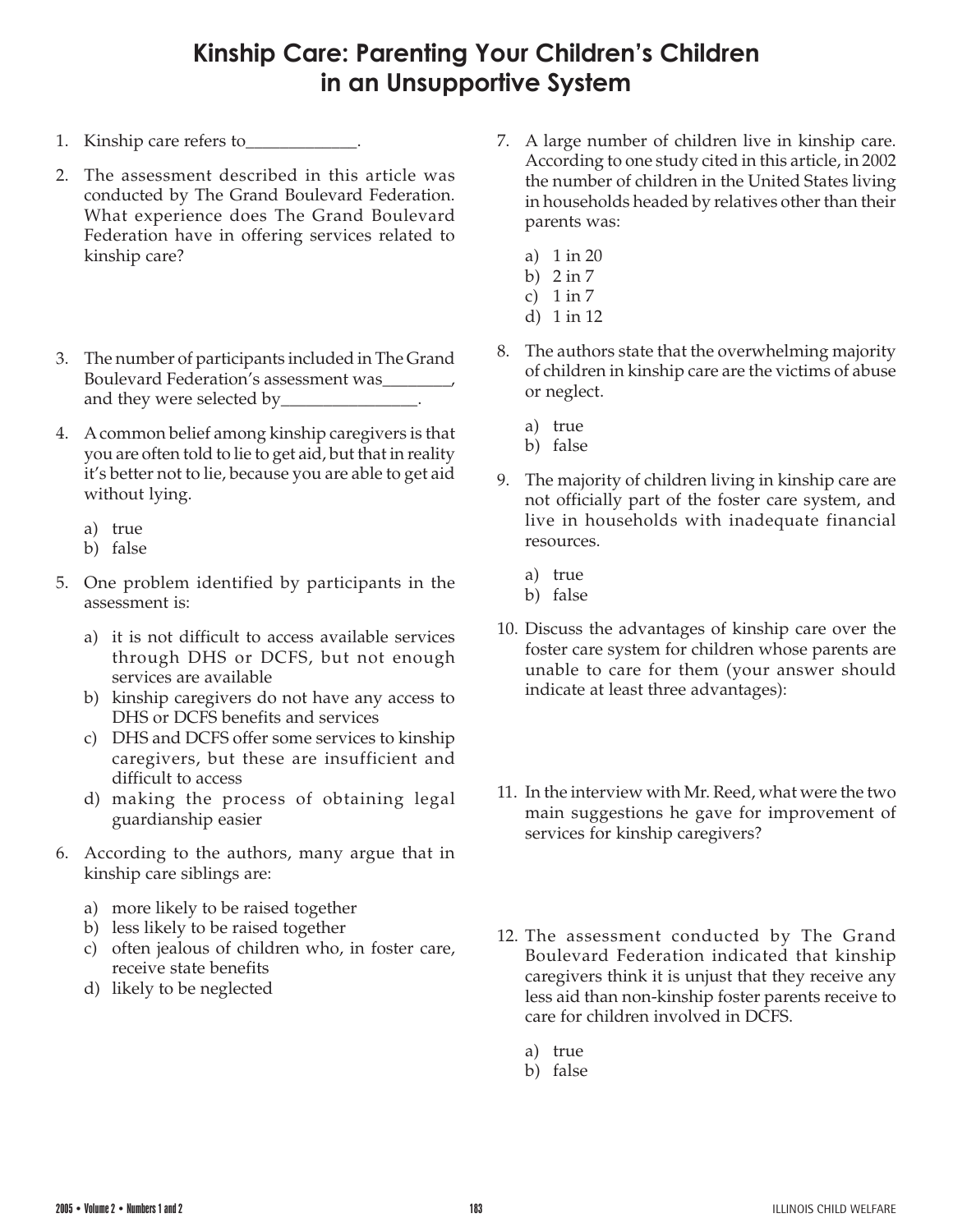## **Kinship Care: Parenting Your Children's Children in an Unsupportive System**

- 1. Kinship care refers to
- 2. The assessment described in this article was conducted by The Grand Boulevard Federation. What experience does The Grand Boulevard Federation have in offering services related to kinship care?
- 3. The number of participants included in The Grand Boulevard Federation's assessment was and they were selected by\_\_\_\_\_\_\_\_\_\_\_\_\_\_\_\_.
- 4. A common belief among kinship caregivers is that you are often told to lie to get aid, but that in reality it's better not to lie, because you are able to get aid without lying.
	- a) true
	- b) false
- 5. One problem identified by participants in the assessment is:
	- a) it is not difficult to access available services through DHS or DCFS, but not enough services are available
	- b) kinship caregivers do not have any access to DHS or DCFS benefits and services
	- c) DHS and DCFS offer some services to kinship caregivers, but these are insufficient and difficult to access
	- d) making the process of obtaining legal guardianship easier
- 6. According to the authors, many argue that in kinship care siblings are:
	- a) more likely to be raised together
	- b) less likely to be raised together
	- c) often jealous of children who, in foster care, receive state benefits
	- d) likely to be neglected
- 7. A large number of children live in kinship care. According to one study cited in this article, in 2002 the number of children in the United States living in households headed by relatives other than their parents was:
	- a) 1 in 20
	- b) 2 in 7
	- c) 1 in 7
	- d) 1 in 12
- 8. The authors state that the overwhelming majority of children in kinship care are the victims of abuse or neglect.
	- a) true
	- b) false
- 9. The majority of children living in kinship care are not officially part of the foster care system, and live in households with inadequate financial resources.
	- a) true
	- b) false
- 10. Discuss the advantages of kinship care over the foster care system for children whose parents are unable to care for them (your answer should indicate at least three advantages):
- 11. In the interview with Mr. Reed, what were the two main suggestions he gave for improvement of services for kinship caregivers?
- 12. The assessment conducted by The Grand Boulevard Federation indicated that kinship caregivers think it is unjust that they receive any less aid than non-kinship foster parents receive to care for children involved in DCFS.
	- a) true
	- b) false